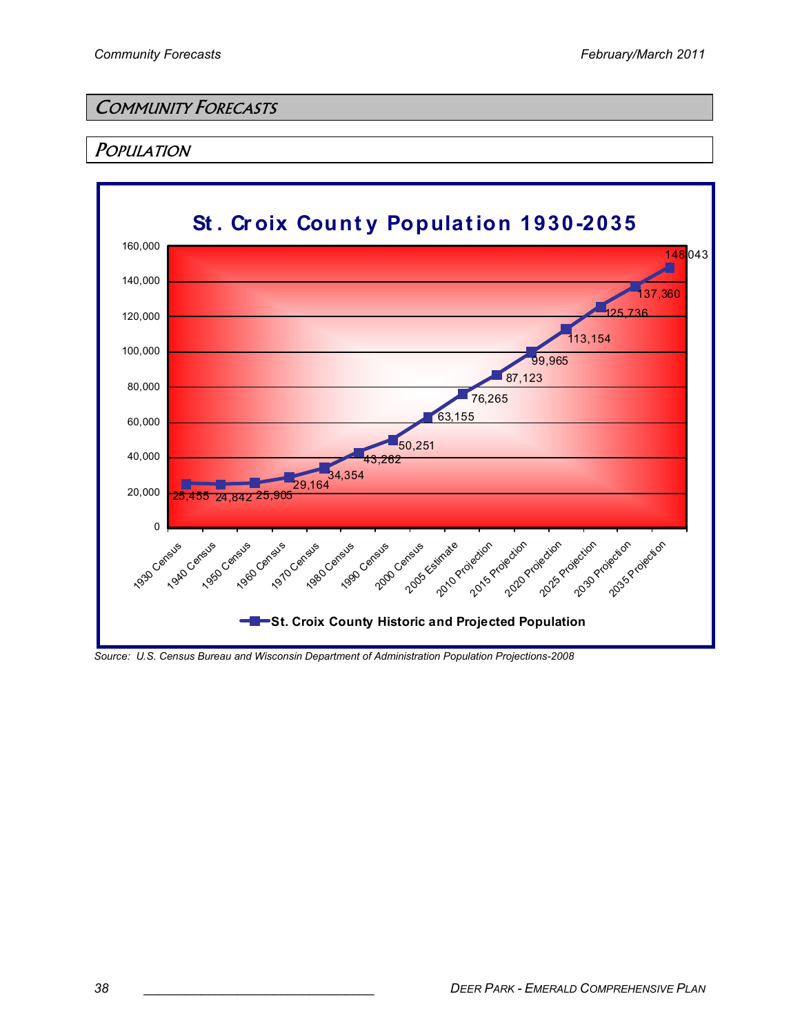## **COMMUNITY FORECASTS**

### **POPULATION**



Source: U.S. Census Bureau and Wisconsin Department of Administration Population Projections-2008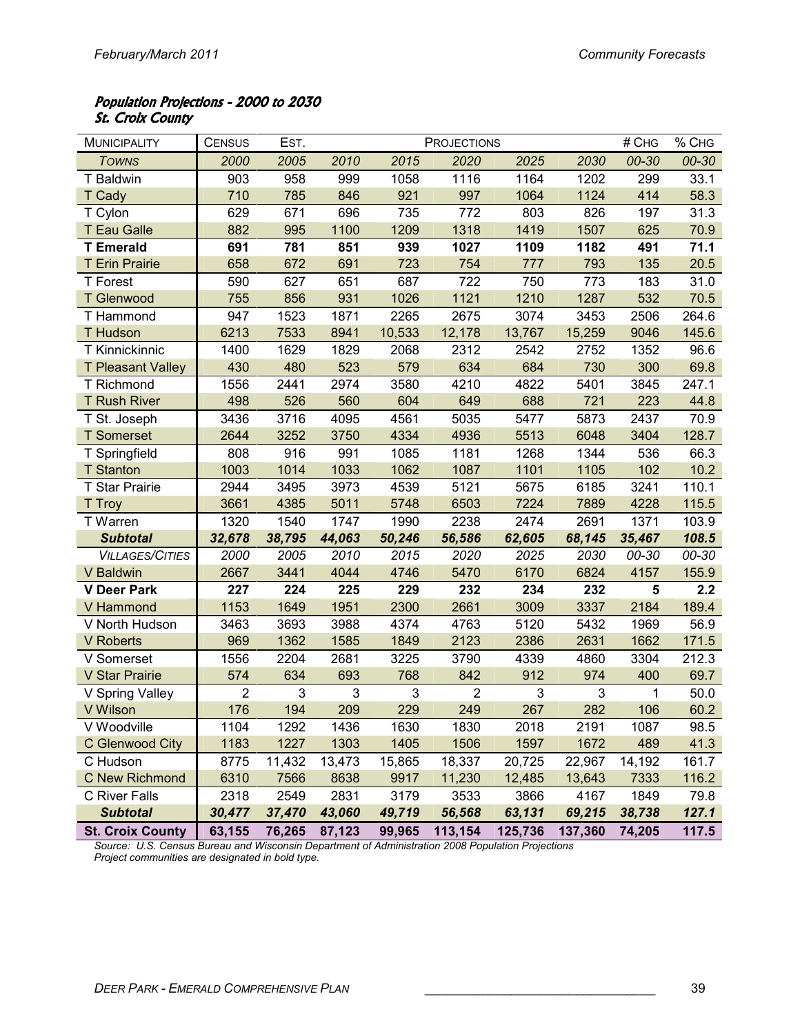### Population Projections - 2000 to 2030 **St. Croix County**

| <b>MUNICIPALITY</b>      | <b>CENSUS</b>  | EST.   | # CHG<br><b>PROJECTIONS</b> |        |                |         |         |        | % CHG |
|--------------------------|----------------|--------|-----------------------------|--------|----------------|---------|---------|--------|-------|
| <b>TOWNS</b>             | 2000           | 2005   | 2010                        | 2015   | 2020           | 2025    | 2030    | 00-30  | 00-30 |
| <b>T</b> Baldwin         | 903            | 958    | 999                         | 1058   | 1116           | 1164    | 1202    | 299    | 33.1  |
| <b>T Cady</b>            | 710            | 785    | 846                         | 921    | 997            | 1064    | 1124    | 414    | 58.3  |
| T Cylon                  | 629            | 671    | 696                         | 735    | 772            | 803     | 826     | 197    | 31.3  |
| <b>T Eau Galle</b>       | 882            | 995    | 1100                        | 1209   | 1318           | 1419    | 1507    | 625    | 70.9  |
| <b>T</b> Emerald         | 691            | 781    | 851                         | 939    | 1027           | 1109    | 1182    | 491    | 71.1  |
| <b>T Erin Prairie</b>    | 658            | 672    | 691                         | 723    | 754            | 777     | 793     | 135    | 20.5  |
| <b>T</b> Forest          | 590            | 627    | 651                         | 687    | 722            | 750     | 773     | 183    | 31.0  |
| <b>T</b> Glenwood        | 755            | 856    | 931                         | 1026   | 1121           | 1210    | 1287    | 532    | 70.5  |
| T Hammond                | 947            | 1523   | 1871                        | 2265   | 2675           | 3074    | 3453    | 2506   | 264.6 |
| <b>T</b> Hudson          | 6213           | 7533   | 8941                        | 10,533 | 12,178         | 13,767  | 15,259  | 9046   | 145.6 |
| T Kinnickinnic           | 1400           | 1629   | 1829                        | 2068   | 2312           | 2542    | 2752    | 1352   | 96.6  |
| <b>T Pleasant Valley</b> | 430            | 480    | 523                         | 579    | 634            | 684     | 730     | 300    | 69.8  |
| T Richmond               | 1556           | 2441   | 2974                        | 3580   | 4210           | 4822    | 5401    | 3845   | 247.1 |
| <b>T Rush River</b>      | 498            | 526    | 560                         | 604    | 649            | 688     | 721     | 223    | 44.8  |
| T St. Joseph             | 3436           | 3716   | 4095                        | 4561   | 5035           | 5477    | 5873    | 2437   | 70.9  |
| <b>T</b> Somerset        | 2644           | 3252   | 3750                        | 4334   | 4936           | 5513    | 6048    | 3404   | 128.7 |
| T Springfield            | 808            | 916    | 991                         | 1085   | 1181           | 1268    | 1344    | 536    | 66.3  |
| <b>T</b> Stanton         | 1003           | 1014   | 1033                        | 1062   | 1087           | 1101    | 1105    | 102    | 10.2  |
| T Star Prairie           | 2944           | 3495   | 3973                        | 4539   | 5121           | 5675    | 6185    | 3241   | 110.1 |
| T Troy                   | 3661           | 4385   | 5011                        | 5748   | 6503           | 7224    | 7889    | 4228   | 115.5 |
| T Warren                 | 1320           | 1540   | 1747                        | 1990   | 2238           | 2474    | 2691    | 1371   | 103.9 |
| <b>Subtotal</b>          | 32,678         | 38,795 | 44,063                      | 50,246 | 56,586         | 62,605  | 68,145  | 35,467 | 108.5 |
| <b>VILLAGES/CITIES</b>   | 2000           | 2005   | 2010                        | 2015   | 2020           | 2025    | 2030    | 00-30  | 00-30 |
| V Baldwin                | 2667           | 3441   | 4044                        | 4746   | 5470           | 6170    | 6824    | 4157   | 155.9 |
| <b>V Deer Park</b>       | 227            | 224    | 225                         | 229    | 232            | 234     | 232     | 5      | 2.2   |
| V Hammond                | 1153           | 1649   | 1951                        | 2300   | 2661           | 3009    | 3337    | 2184   | 189.4 |
| V North Hudson           | 3463           | 3693   | 3988                        | 4374   | 4763           | 5120    | 5432    | 1969   | 56.9  |
| <b>V</b> Roberts         | 969            | 1362   | 1585                        | 1849   | 2123           | 2386    | 2631    | 1662   | 171.5 |
| V Somerset               | 1556           | 2204   | 2681                        | 3225   | 3790           | 4339    | 4860    | 3304   | 212.3 |
| V Star Prairie           | 574            | 634    | 693                         | 768    | 842            | 912     | 974     | 400    | 69.7  |
| V Spring Valley          | $\overline{2}$ | 3      | 3                           | 3      | $\overline{2}$ | 3       | 3       | 1      | 50.0  |
| <b>V</b> Wilson          | 176            | 194    | 209                         | 229    | 249            | 267     | 282     | 106    | 60.2  |
| V Woodville              | 1104           | 1292   | 1436                        | 1630   | 1830           | 2018    | 2191    | 1087   | 98.5  |
| C Glenwood City          | 1183           | 1227   | 1303                        | 1405   | 1506           | 1597    | 1672    | 489    | 41.3  |
| C Hudson                 | 8775           | 11,432 | 13,473                      | 15,865 | 18,337         | 20,725  | 22,967  | 14,192 | 161.7 |
| <b>C New Richmond</b>    | 6310           | 7566   | 8638                        | 9917   | 11,230         | 12,485  | 13,643  | 7333   | 116.2 |
| C River Falls            | 2318           | 2549   | 2831                        | 3179   | 3533           | 3866    | 4167    | 1849   | 79.8  |
| <b>Subtotal</b>          | 30,477         | 37,470 | 43,060                      | 49,719 | 56,568         | 63,131  | 69,215  | 38,738 | 127.1 |
| <b>St. Croix County</b>  | 63,155         | 76,265 | 87,123                      | 99,965 | 113,154        | 125,736 | 137,360 | 74,205 | 117.5 |

Source: U.S. Census Bureau and Wisconsin Department of Administration 2008 Population Projections Project communities are designated in bold type.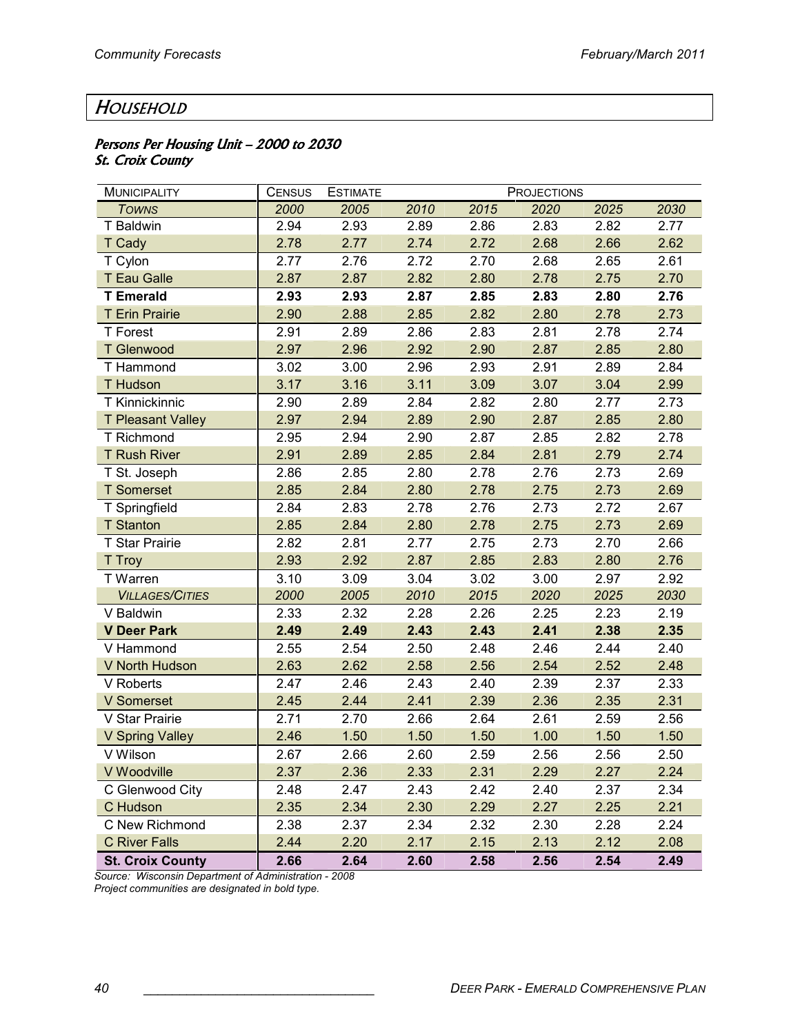# **HOUSEHOLD**

### Persons Per Housing Unit - 2000 to 2030 **St. Croix County**

| MUNICIPALITY             | <b>CENSUS</b> | <b>ESTIMATE</b> | PROJECTIONS |      |      |      |      |  |  |
|--------------------------|---------------|-----------------|-------------|------|------|------|------|--|--|
| <b>TOWNS</b>             | 2000          | 2005            | 2010        | 2015 | 2020 | 2025 | 2030 |  |  |
| T Baldwin                | 2.94          | 2.93            | 2.89        | 2.86 | 2.83 | 2.82 | 2.77 |  |  |
| T Cady                   | 2.78          | 2.77            | 2.74        | 2.72 | 2.68 | 2.66 | 2.62 |  |  |
| T Cylon                  | 2.77          | 2.76            | 2.72        | 2.70 | 2.68 | 2.65 | 2.61 |  |  |
| <b>T Eau Galle</b>       | 2.87          | 2.87            | 2.82        | 2.80 | 2.78 | 2.75 | 2.70 |  |  |
| <b>T</b> Emerald         | 2.93          | 2.93            | 2.87        | 2.85 | 2.83 | 2.80 | 2.76 |  |  |
| <b>T Erin Prairie</b>    | 2.90          | 2.88            | 2.85        | 2.82 | 2.80 | 2.78 | 2.73 |  |  |
| <b>T</b> Forest          | 2.91          | 2.89            | 2.86        | 2.83 | 2.81 | 2.78 | 2.74 |  |  |
| <b>T</b> Glenwood        | 2.97          | 2.96            | 2.92        | 2.90 | 2.87 | 2.85 | 2.80 |  |  |
| T Hammond                | 3.02          | 3.00            | 2.96        | 2.93 | 2.91 | 2.89 | 2.84 |  |  |
| <b>T Hudson</b>          | 3.17          | 3.16            | 3.11        | 3.09 | 3.07 | 3.04 | 2.99 |  |  |
| T Kinnickinnic           | 2.90          | 2.89            | 2.84        | 2.82 | 2.80 | 2.77 | 2.73 |  |  |
| <b>T Pleasant Valley</b> | 2.97          | 2.94            | 2.89        | 2.90 | 2.87 | 2.85 | 2.80 |  |  |
| T Richmond               | 2.95          | 2.94            | 2.90        | 2.87 | 2.85 | 2.82 | 2.78 |  |  |
| <b>T Rush River</b>      | 2.91          | 2.89            | 2.85        | 2.84 | 2.81 | 2.79 | 2.74 |  |  |
| T St. Joseph             | 2.86          | 2.85            | 2.80        | 2.78 | 2.76 | 2.73 | 2.69 |  |  |
| <b>T</b> Somerset        | 2.85          | 2.84            | 2.80        | 2.78 | 2.75 | 2.73 | 2.69 |  |  |
| T Springfield            | 2.84          | 2.83            | 2.78        | 2.76 | 2.73 | 2.72 | 2.67 |  |  |
| <b>T</b> Stanton         | 2.85          | 2.84            | 2.80        | 2.78 | 2.75 | 2.73 | 2.69 |  |  |
| T Star Prairie           | 2.82          | 2.81            | 2.77        | 2.75 | 2.73 | 2.70 | 2.66 |  |  |
| T Troy                   | 2.93          | 2.92            | 2.87        | 2.85 | 2.83 | 2.80 | 2.76 |  |  |
| T Warren                 | 3.10          | 3.09            | 3.04        | 3.02 | 3.00 | 2.97 | 2.92 |  |  |
| <b>VILLAGES/CITIES</b>   | 2000          | 2005            | 2010        | 2015 | 2020 | 2025 | 2030 |  |  |
| V Baldwin                | 2.33          | 2.32            | 2.28        | 2.26 | 2.25 | 2.23 | 2.19 |  |  |
| <b>V Deer Park</b>       | 2.49          | 2.49            | 2.43        | 2.43 | 2.41 | 2.38 | 2.35 |  |  |
| V Hammond                | 2.55          | 2.54            | 2.50        | 2.48 | 2.46 | 2.44 | 2.40 |  |  |
| V North Hudson           | 2.63          | 2.62            | 2.58        | 2.56 | 2.54 | 2.52 | 2.48 |  |  |
| V Roberts                | 2.47          | 2.46            | 2.43        | 2.40 | 2.39 | 2.37 | 2.33 |  |  |
| V Somerset               | 2.45          | 2.44            | 2.41        | 2.39 | 2.36 | 2.35 | 2.31 |  |  |
| V Star Prairie           | 2.71          | 2.70            | 2.66        | 2.64 | 2.61 | 2.59 | 2.56 |  |  |
| V Spring Valley          | 2.46          | 1.50            | 1.50        | 1.50 | 1.00 | 1.50 | 1.50 |  |  |
| V Wilson                 | 2.67          | 2.66            | 2.60        | 2.59 | 2.56 | 2.56 | 2.50 |  |  |
| V Woodville              | 2.37          | 2.36            | 2.33        | 2.31 | 2.29 | 2.27 | 2.24 |  |  |
| C Glenwood City          | 2.48          | 2.47            | 2.43        | 2.42 | 2.40 | 2.37 | 2.34 |  |  |
| C Hudson                 | 2.35          | 2.34            | 2.30        | 2.29 | 2.27 | 2.25 | 2.21 |  |  |
| C New Richmond           | 2.38          | 2.37            | 2.34        | 2.32 | 2.30 | 2.28 | 2.24 |  |  |
| <b>C River Falls</b>     | 2.44          | 2.20            | 2.17        | 2.15 | 2.13 | 2.12 | 2.08 |  |  |
| <b>St. Croix County</b>  | 2.66          | 2.64            | 2.60        | 2.58 | 2.56 | 2.54 | 2.49 |  |  |

Source: Wisconsin Department of Administration - 2008 Project communities are designated in bold type.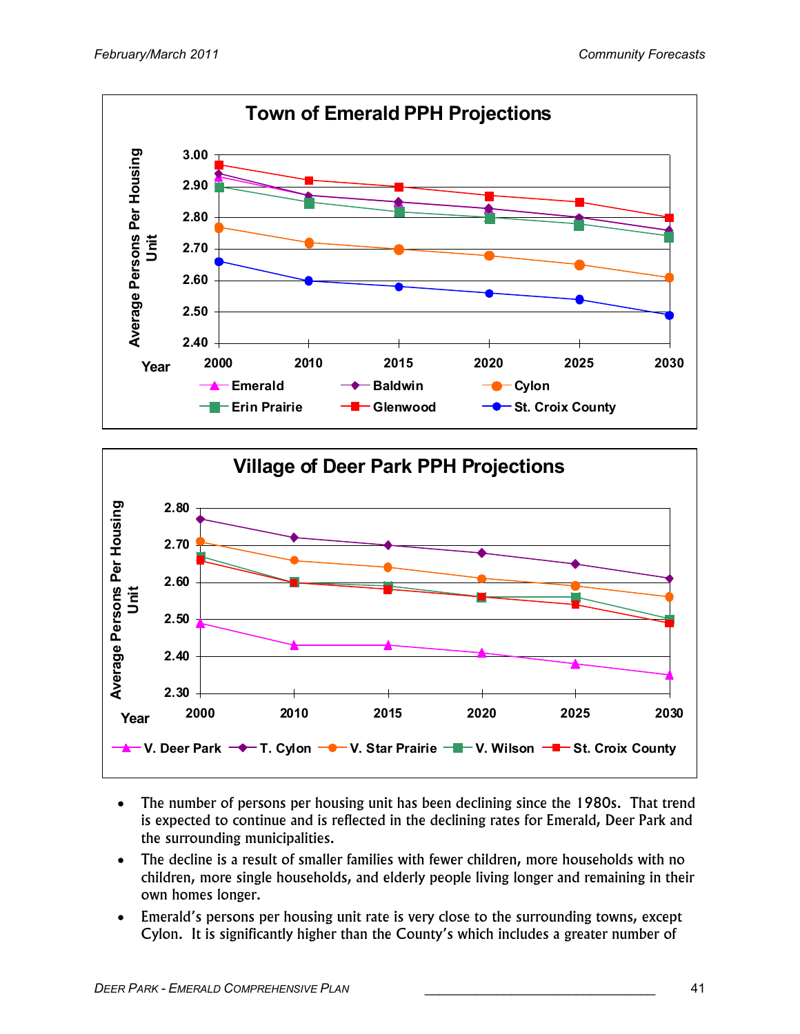



- The number of persons per housing unit has been declining since the 1980s. That trend is expected to continue and is reflected in the declining rates for Emerald, Deer Park and the surrounding municipalities.
- The decline is a result of smaller families with fewer children, more households with no children, more single households, and elderly people living longer and remaining in their own homes longer.
- Emerald's persons per housing unit rate is very close to the surrounding towns, except Cylon. It is significantly higher than the County's which includes a greater number of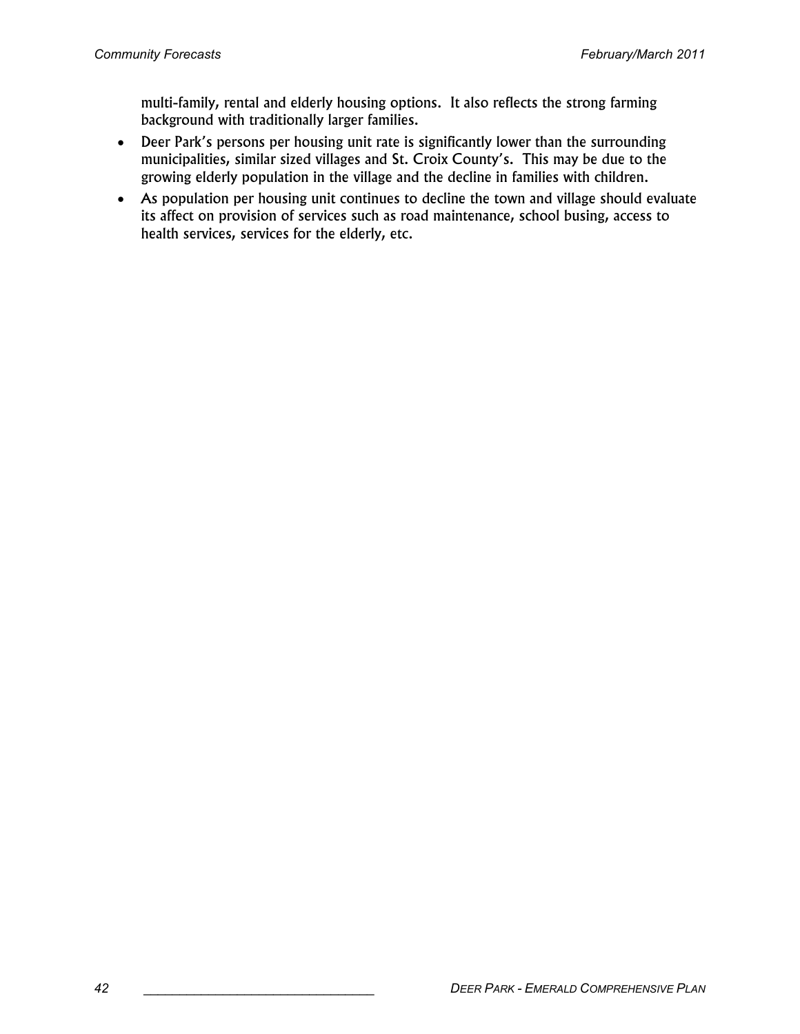multi-family, rental and elderly housing options. It also reflects the strong farming background with traditionally larger families.

- Deer Park's persons per housing unit rate is significantly lower than the surrounding municipalities, similar sized villages and St. Croix County's. This may be due to the growing elderly population in the village and the decline in families with children.
- As population per housing unit continues to decline the town and village should evaluate its affect on provision of services such as road maintenance, school busing, access to health services, services for the elderly, etc.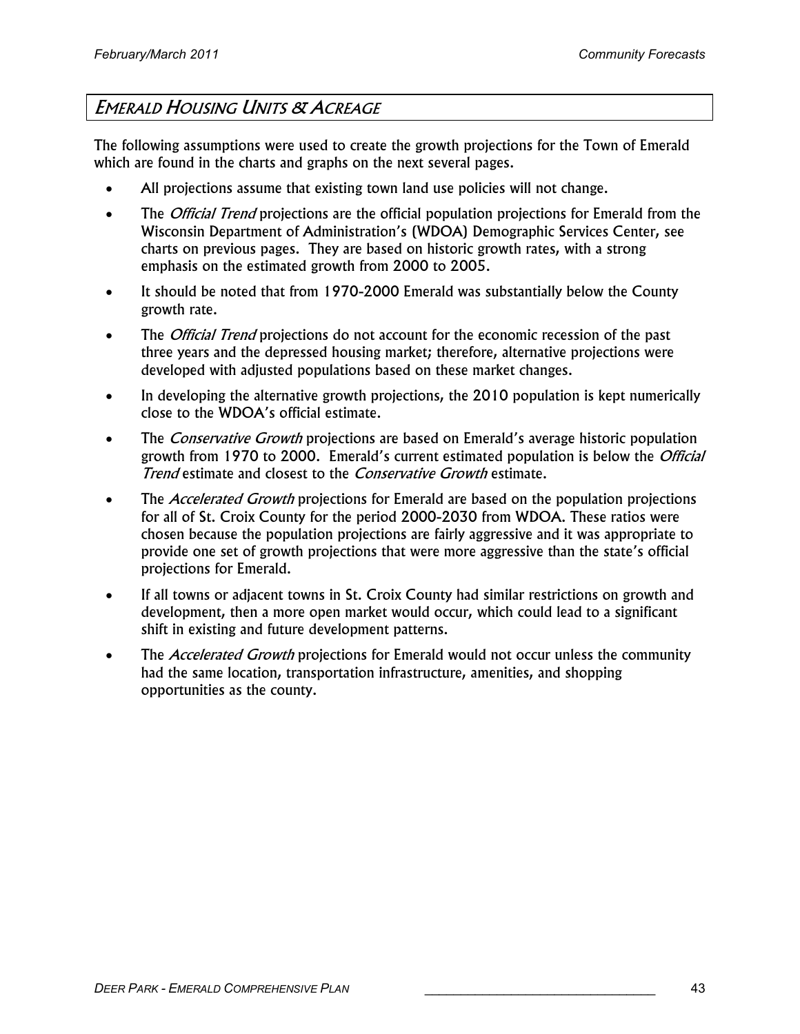# EMERALD HOUSING UNITS & ACREAGE

The following assumptions were used to create the growth projections for the Town of Emerald which are found in the charts and graphs on the next several pages.

- All projections assume that existing town land use policies will not change.
- The *Official Trend* projections are the official population projections for Emerald from the Wisconsin Department of Administration's (WDOA) Demographic Services Center, see charts on previous pages. They are based on historic growth rates, with a strong emphasis on the estimated growth from 2000 to 2005.
- It should be noted that from 1970-2000 Emerald was substantially below the County growth rate.
- The *Official Trend* projections do not account for the economic recession of the past three years and the depressed housing market; therefore, alternative projections were developed with adjusted populations based on these market changes.
- In developing the alternative growth projections, the 2010 population is kept numerically close to the WDOA's official estimate.
- The *Conservative Growth* projections are based on Emerald's average historic population growth from 1970 to 2000. Emerald's current estimated population is below the *Official* Trend estimate and closest to the *Conservative Growth* estimate.
- The *Accelerated Growth* projections for Emerald are based on the population projections for all of St. Croix County for the period 2000-2030 from WDOA. These ratios were chosen because the population projections are fairly aggressive and it was appropriate to provide one set of growth projections that were more aggressive than the state's official projections for Emerald.
- If all towns or adjacent towns in St. Croix County had similar restrictions on growth and development, then a more open market would occur, which could lead to a significant shift in existing and future development patterns.
- The *Accelerated Growth* projections for Emerald would not occur unless the community had the same location, transportation infrastructure, amenities, and shopping opportunities as the county.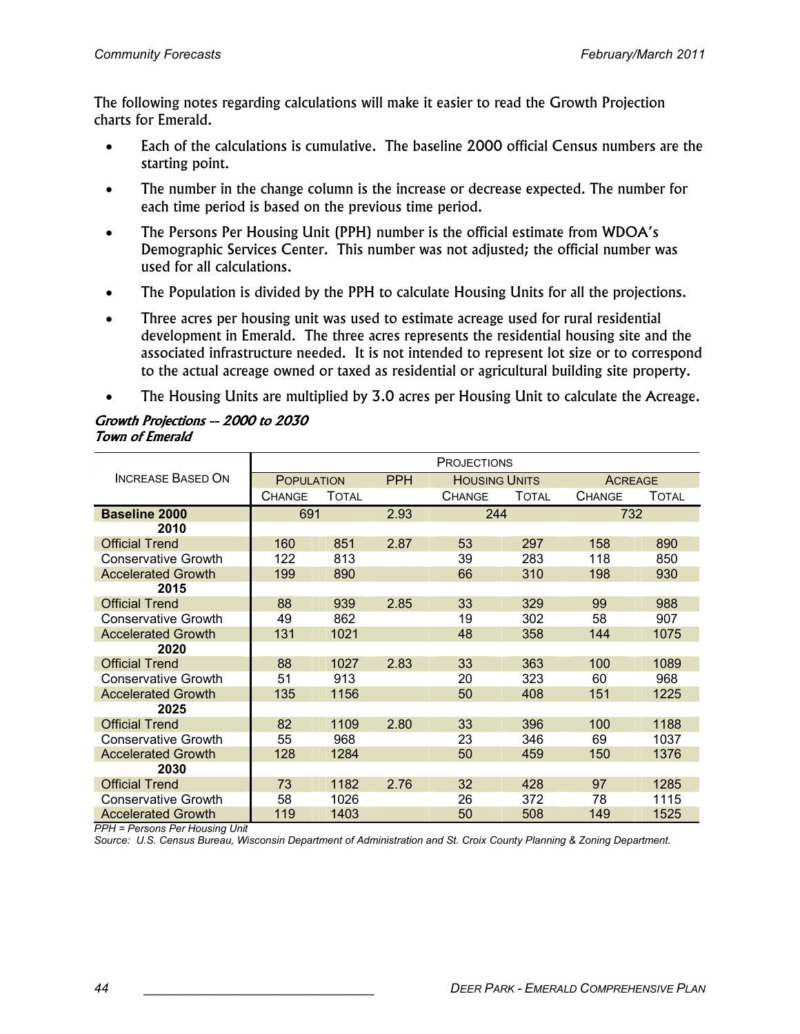The following notes regarding calculations will make it easier to read the Growth Projection charts for Emerald.

- Each of the calculations is cumulative. The baseline 2000 official Census numbers are the starting point.
- The number in the change column is the increase or decrease expected. The number for each time period is based on the previous time period.
- The Persons Per Housing Unit (PPH) number is the official estimate from WDOA's Demographic Services Center. This number was not adjusted; the official number was used for all calculations.
- The Population is divided by the PPH to calculate Housing Units for all the projections.
- Three acres per housing unit was used to estimate acreage used for rural residential development in Emerald. The three acres represents the residential housing site and the associated infrastructure needed. It is not intended to represent lot size or to correspond to the actual acreage owned or taxed as residential or agricultural building site property.
- The Housing Units are multiplied by 3.0 acres per Housing Unit to calculate the Acreage.

#### Growth Projections -- 2000 to 2030 **Town of Emerald**

|                            | <b>PROJECTIONS</b> |              |            |                      |              |                |              |  |
|----------------------------|--------------------|--------------|------------|----------------------|--------------|----------------|--------------|--|
| <b>INCREASE BASED ON</b>   | <b>POPULATION</b>  |              | <b>PPH</b> | <b>HOUSING UNITS</b> |              | <b>ACREAGE</b> |              |  |
|                            | <b>CHANGE</b>      | <b>TOTAL</b> |            | <b>CHANGE</b>        | <b>TOTAL</b> | <b>CHANGE</b>  | <b>TOTAL</b> |  |
| <b>Baseline 2000</b>       | 691                |              | 2.93       | 244                  |              | 732            |              |  |
| 2010                       |                    |              |            |                      |              |                |              |  |
| <b>Official Trend</b>      | 160                | 851          | 2.87       | 53                   | 297          | 158            | 890          |  |
| <b>Conservative Growth</b> | 122                | 813          |            | 39                   | 283          | 118            | 850          |  |
| <b>Accelerated Growth</b>  | 199                | 890          |            | 66                   | 310          | 198            | 930          |  |
| 2015                       |                    |              |            |                      |              |                |              |  |
| <b>Official Trend</b>      | 88                 | 939          | 2.85       | 33                   | 329          | 99             | 988          |  |
| <b>Conservative Growth</b> | 49                 | 862          |            | 19                   | 302          | 58             | 907          |  |
| <b>Accelerated Growth</b>  | 131                | 1021         |            | 48                   | 358          | 144            | 1075         |  |
| 2020                       |                    |              |            |                      |              |                |              |  |
| <b>Official Trend</b>      | 88                 | 1027         | 2.83       | 33                   | 363          | 100            | 1089         |  |
| <b>Conservative Growth</b> | 51                 | 913          |            | 20                   | 323          | 60             | 968          |  |
| <b>Accelerated Growth</b>  | 135                | 1156         |            | 50                   | 408          | 151            | 1225         |  |
| 2025                       |                    |              |            |                      |              |                |              |  |
| <b>Official Trend</b>      | 82                 | 1109         | 2.80       | 33                   | 396          | 100            | 1188         |  |
| <b>Conservative Growth</b> | 55                 | 968          |            | 23                   | 346          | 69             | 1037         |  |
| <b>Accelerated Growth</b>  | 128                | 1284         |            | 50                   | 459          | 150            | 1376         |  |
| 2030                       |                    |              |            |                      |              |                |              |  |
| <b>Official Trend</b>      | 73                 | 1182         | 2.76       | 32                   | 428          | 97             | 1285         |  |
| Conservative Growth        | 58                 | 1026         |            | 26                   | 372          | 78             | 1115         |  |
| <b>Accelerated Growth</b>  | 119                | 1403         |            | 50                   | 508          | 149            | 1525         |  |

PPH = Persons Per Housing Unit

Source: U.S. Census Bureau, Wisconsin Department of Administration and St. Croix County Planning & Zoning Department.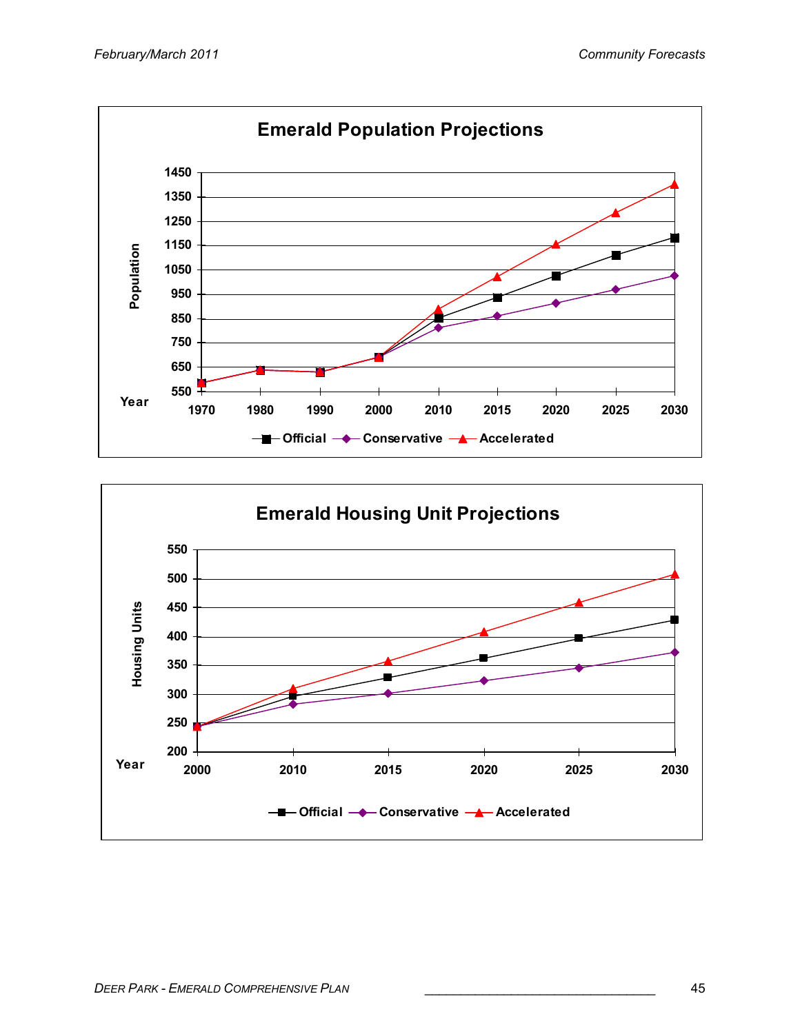

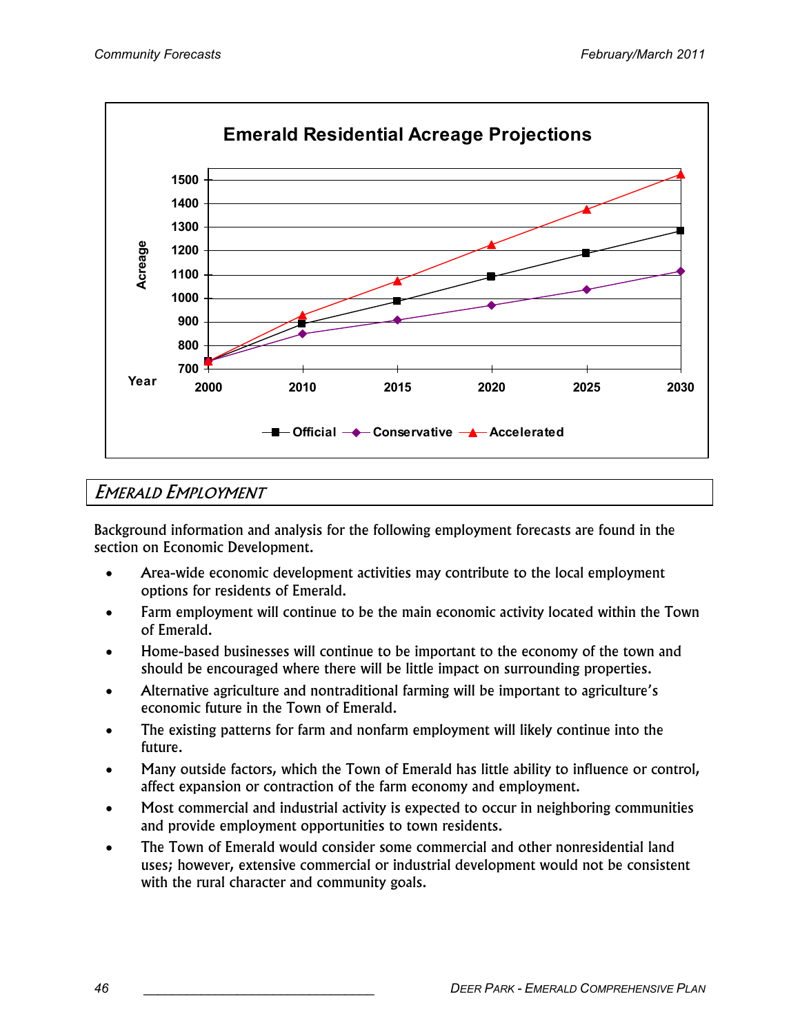

# EMERALD EMPLOYMENT

Background information and analysis for the following employment forecasts are found in the section on Economic Development.

- Area-wide economic development activities may contribute to the local employment options for residents of Emerald.
- Farm employment will continue to be the main economic activity located within the Town of Emerald.
- Home-based businesses will continue to be important to the economy of the town and should be encouraged where there will be little impact on surrounding properties.
- Alternative agriculture and nontraditional farming will be important to agriculture's economic future in the Town of Emerald.
- The existing patterns for farm and nonfarm employment will likely continue into the future.
- Many outside factors, which the Town of Emerald has little ability to influence or control, affect expansion or contraction of the farm economy and employment.
- Most commercial and industrial activity is expected to occur in neighboring communities and provide employment opportunities to town residents.
- The Town of Emerald would consider some commercial and other nonresidential land uses; however, extensive commercial or industrial development would not be consistent with the rural character and community goals.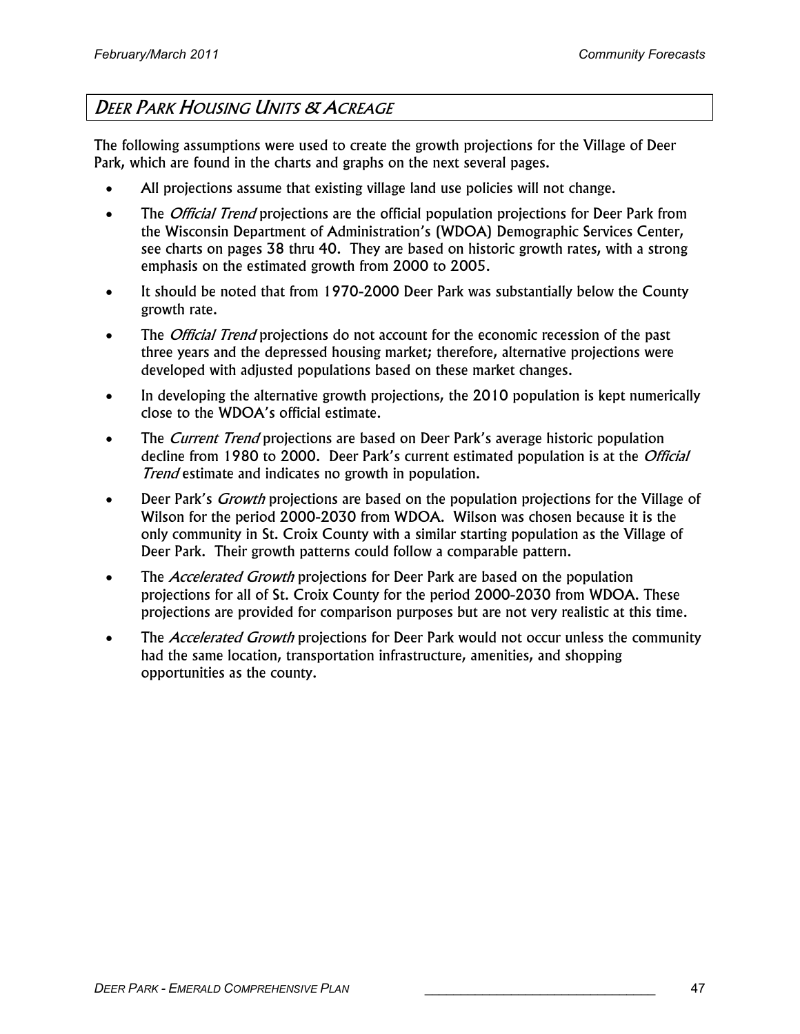# DEER PARK HOUSING UNITS & ACREAGE

The following assumptions were used to create the growth projections for the Village of Deer Park, which are found in the charts and graphs on the next several pages.

- All projections assume that existing village land use policies will not change.
- The *Official Trend* projections are the official population projections for Deer Park from the Wisconsin Department of Administration's (WDOA) Demographic Services Center, see charts on pages 38 thru 40. They are based on historic growth rates, with a strong emphasis on the estimated growth from 2000 to 2005.
- It should be noted that from 1970-2000 Deer Park was substantially below the County growth rate.
- The *Official Trend* projections do not account for the economic recession of the past three years and the depressed housing market; therefore, alternative projections were developed with adjusted populations based on these market changes.
- In developing the alternative growth projections, the 2010 population is kept numerically close to the WDOA's official estimate.
- The *Current Trend* projections are based on Deer Park's average historic population decline from 1980 to 2000. Deer Park's current estimated population is at the *Official* Trend estimate and indicates no growth in population.
- Deer Park's *Growth* projections are based on the population projections for the Village of Wilson for the period 2000-2030 from WDOA. Wilson was chosen because it is the only community in St. Croix County with a similar starting population as the Village of Deer Park. Their growth patterns could follow a comparable pattern.
- The *Accelerated Growth* projections for Deer Park are based on the population projections for all of St. Croix County for the period 2000-2030 from WDOA. These projections are provided for comparison purposes but are not very realistic at this time.
- The Accelerated Growth projections for Deer Park would not occur unless the community had the same location, transportation infrastructure, amenities, and shopping opportunities as the county.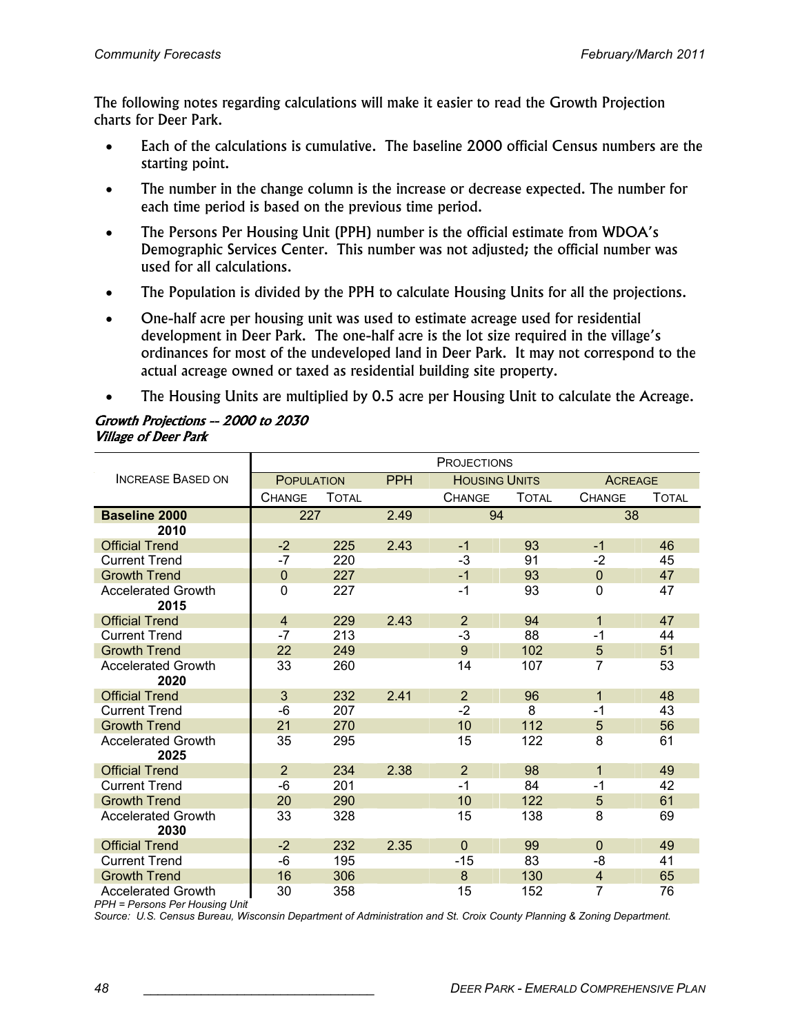The following notes regarding calculations will make it easier to read the Growth Projection charts for Deer Park.

- Each of the calculations is cumulative. The baseline 2000 official Census numbers are the starting point.
- The number in the change column is the increase or decrease expected. The number for each time period is based on the previous time period.
- The Persons Per Housing Unit (PPH) number is the official estimate from WDOA's Demographic Services Center. This number was not adjusted; the official number was used for all calculations.
- The Population is divided by the PPH to calculate Housing Units for all the projections.
- One-half acre per housing unit was used to estimate acreage used for residential development in Deer Park. The one-half acre is the lot size required in the village's ordinances for most of the undeveloped land in Deer Park. It may not correspond to the actual acreage owned or taxed as residential building site property.
- The Housing Units are multiplied by 0.5 acre per Housing Unit to calculate the Acreage.

#### Growth Projections -- 2000 to 2030 Village of Deer Park

|                                   | <b>PROJECTIONS</b> |              |            |                      |              |                |              |  |
|-----------------------------------|--------------------|--------------|------------|----------------------|--------------|----------------|--------------|--|
| <b>INCREASE BASED ON</b>          | <b>POPULATION</b>  |              | <b>PPH</b> | <b>HOUSING UNITS</b> |              | <b>ACREAGE</b> |              |  |
|                                   | <b>CHANGE</b>      | <b>TOTAL</b> |            | <b>CHANGE</b>        | <b>TOTAL</b> | <b>CHANGE</b>  | <b>TOTAL</b> |  |
| <b>Baseline 2000</b>              | 227                |              | 2.49       | 94                   |              | 38             |              |  |
| 2010                              |                    |              |            |                      |              |                |              |  |
| <b>Official Trend</b>             | $-2$               | 225          | 2.43       | $-1$                 | 93           | $-1$           | 46           |  |
| <b>Current Trend</b>              | -7                 | 220          |            | $-3$                 | 91           | $-2$           | 45           |  |
| <b>Growth Trend</b>               | $\mathbf 0$        | 227          |            | $-1$                 | 93           | $\mathbf 0$    | 47           |  |
| <b>Accelerated Growth</b><br>2015 | $\Omega$           | 227          |            | $-1$                 | 93           | $\mathbf 0$    | 47           |  |
| <b>Official Trend</b>             | $\overline{4}$     | 229          | 2.43       | 2                    | 94           | 1              | 47           |  |
| <b>Current Trend</b>              | $-7$               | 213          |            | $-3$                 | 88           | $-1$           | 44           |  |
| <b>Growth Trend</b>               | 22                 | 249          |            | 9                    | 102          | 5              | 51           |  |
| <b>Accelerated Growth</b><br>2020 | 33                 | 260          |            | 14                   | 107          | 7              | 53           |  |
| <b>Official Trend</b>             | 3                  | 232          | 2.41       | 2                    | 96           | $\mathbf{1}$   | 48           |  |
| <b>Current Trend</b>              | -6                 | 207          |            | $-2$                 | 8            | $-1$           | 43           |  |
| <b>Growth Trend</b>               | 21                 | 270          |            | 10                   | 112          | 5              | 56           |  |
| <b>Accelerated Growth</b><br>2025 | 35                 | 295          |            | 15                   | 122          | 8              | 61           |  |
| <b>Official Trend</b>             | $\overline{2}$     | 234          | 2.38       | 2                    | 98           | $\mathbf{1}$   | 49           |  |
| <b>Current Trend</b>              | -6                 | 201          |            | $-1$                 | 84           | $-1$           | 42           |  |
| <b>Growth Trend</b>               | 20                 | 290          |            | 10                   | 122          | 5              | 61           |  |
| <b>Accelerated Growth</b><br>2030 | 33                 | 328          |            | 15                   | 138          | 8              | 69           |  |
| <b>Official Trend</b>             | $-2$               | 232          | 2.35       | $\Omega$             | 99           | $\Omega$       | 49           |  |
| <b>Current Trend</b>              | -6                 | 195          |            | $-15$                | 83           | -8             | 41           |  |
| <b>Growth Trend</b>               | 16                 | 306          |            | 8                    | 130          | $\overline{4}$ | 65           |  |
| <b>Accelerated Growth</b>         | 30                 | 358          |            | 15                   | 152          | 7              | 76           |  |

PPH = Persons Per Housing Unit

Source: U.S. Census Bureau, Wisconsin Department of Administration and St. Croix County Planning & Zoning Department.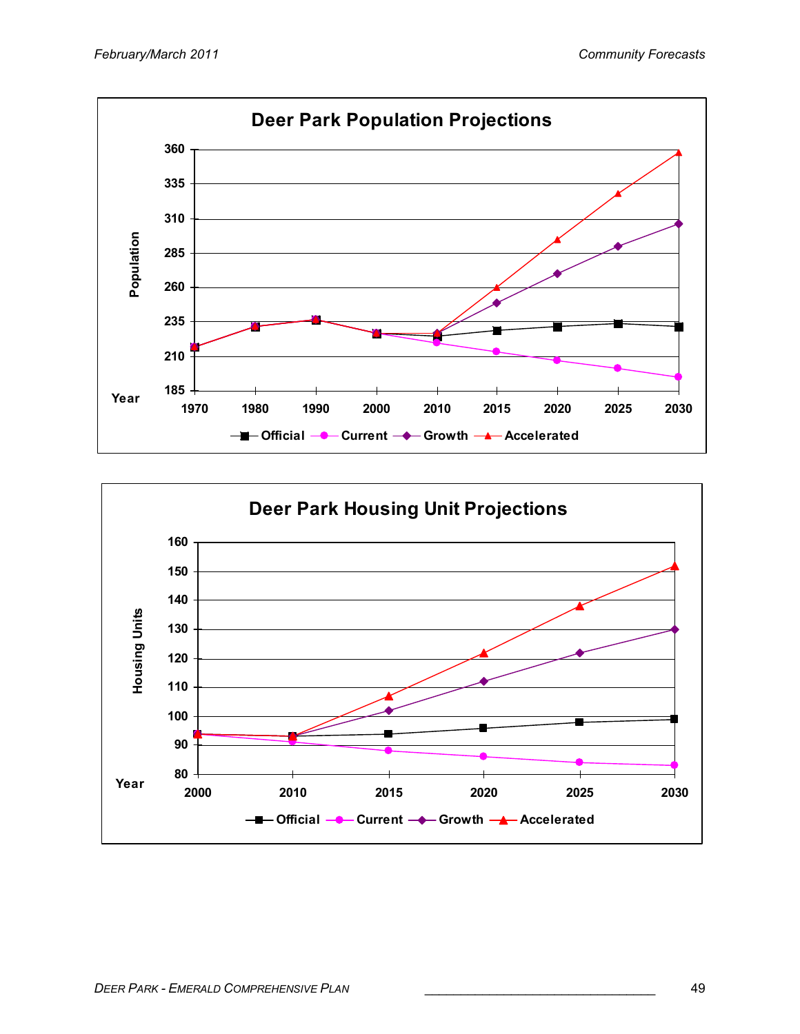